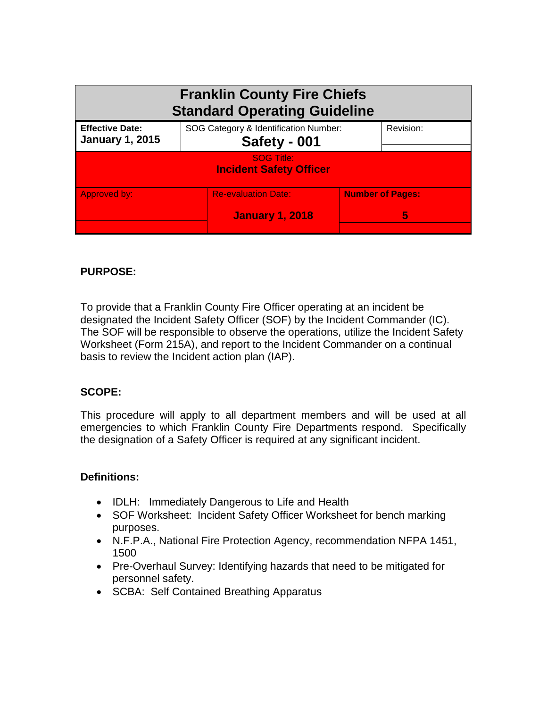| <b>Franklin County Fire Chiefs</b><br><b>Standard Operating Guideline</b> |                                                       |                              |  |
|---------------------------------------------------------------------------|-------------------------------------------------------|------------------------------|--|
| <b>Effective Date:</b><br><b>January 1, 2015</b>                          | SOG Category & Identification Number:<br>Safety - 001 |                              |  |
| <b>SOG Title:</b><br><b>Incident Safety Officer</b>                       |                                                       |                              |  |
| Approved by:                                                              | <b>Re-evaluation Date:</b><br><b>January 1, 2018</b>  | <b>Number of Pages:</b><br>5 |  |

## **PURPOSE:**

To provide that a Franklin County Fire Officer operating at an incident be designated the Incident Safety Officer (SOF) by the Incident Commander (IC). The SOF will be responsible to observe the operations, utilize the Incident Safety Worksheet (Form 215A), and report to the Incident Commander on a continual basis to review the Incident action plan (IAP).

## **SCOPE:**

This procedure will apply to all department members and will be used at all emergencies to which Franklin County Fire Departments respond. Specifically the designation of a Safety Officer is required at any significant incident.

## **Definitions:**

- IDLH: Immediately Dangerous to Life and Health
- SOF Worksheet: Incident Safety Officer Worksheet for bench marking purposes.
- N.F.P.A., National Fire Protection Agency, recommendation NFPA 1451, 1500
- Pre-Overhaul Survey: Identifying hazards that need to be mitigated for personnel safety.
- SCBA: Self Contained Breathing Apparatus